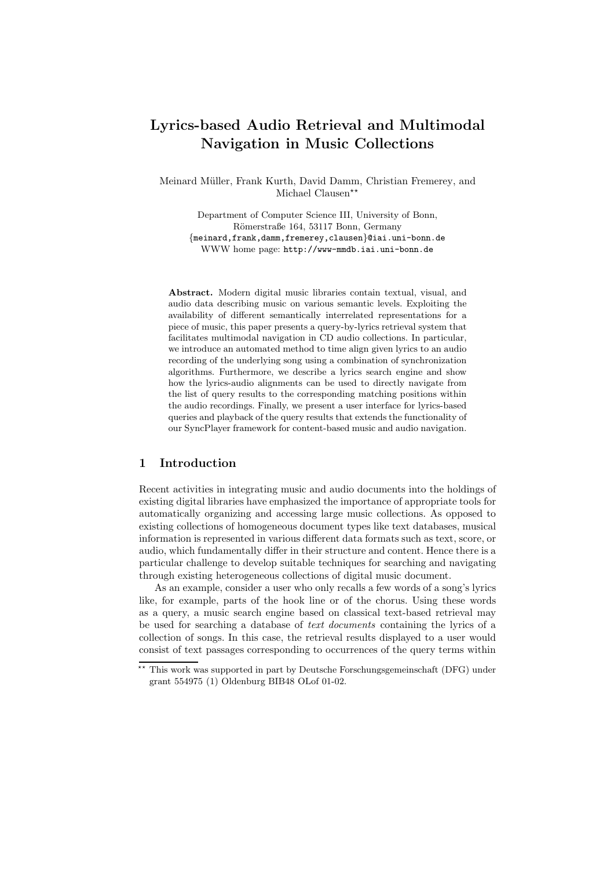# Lyrics-based Audio Retrieval and Multimodal Navigation in Music Collections

Meinard Müller, Frank Kurth, David Damm, Christian Fremerey, and Michael Clausen<sup>\*\*</sup>

Department of Computer Science III, University of Bonn, Römerstraße 164, 53117 Bonn, Germany {meinard,frank,damm,fremerey,clausen}@iai.uni-bonn.de WWW home page: http://www-mmdb.iai.uni-bonn.de

Abstract. Modern digital music libraries contain textual, visual, and audio data describing music on various semantic levels. Exploiting the availability of different semantically interrelated representations for a piece of music, this paper presents a query-by-lyrics retrieval system that facilitates multimodal navigation in CD audio collections. In particular, we introduce an automated method to time align given lyrics to an audio recording of the underlying song using a combination of synchronization algorithms. Furthermore, we describe a lyrics search engine and show how the lyrics-audio alignments can be used to directly navigate from the list of query results to the corresponding matching positions within the audio recordings. Finally, we present a user interface for lyrics-based queries and playback of the query results that extends the functionality of our SyncPlayer framework for content-based music and audio navigation.

### 1 Introduction

Recent activities in integrating music and audio documents into the holdings of existing digital libraries have emphasized the importance of appropriate tools for automatically organizing and accessing large music collections. As opposed to existing collections of homogeneous document types like text databases, musical information is represented in various different data formats such as text, score, or audio, which fundamentally differ in their structure and content. Hence there is a particular challenge to develop suitable techniques for searching and navigating through existing heterogeneous collections of digital music document.

As an example, consider a user who only recalls a few words of a song's lyrics like, for example, parts of the hook line or of the chorus. Using these words as a query, a music search engine based on classical text-based retrieval may be used for searching a database of text documents containing the lyrics of a collection of songs. In this case, the retrieval results displayed to a user would consist of text passages corresponding to occurrences of the query terms within

<sup>\*\*</sup> This work was supported in part by Deutsche Forschungsgemeinschaft (DFG) under grant 554975 (1) Oldenburg BIB48 OLof 01-02.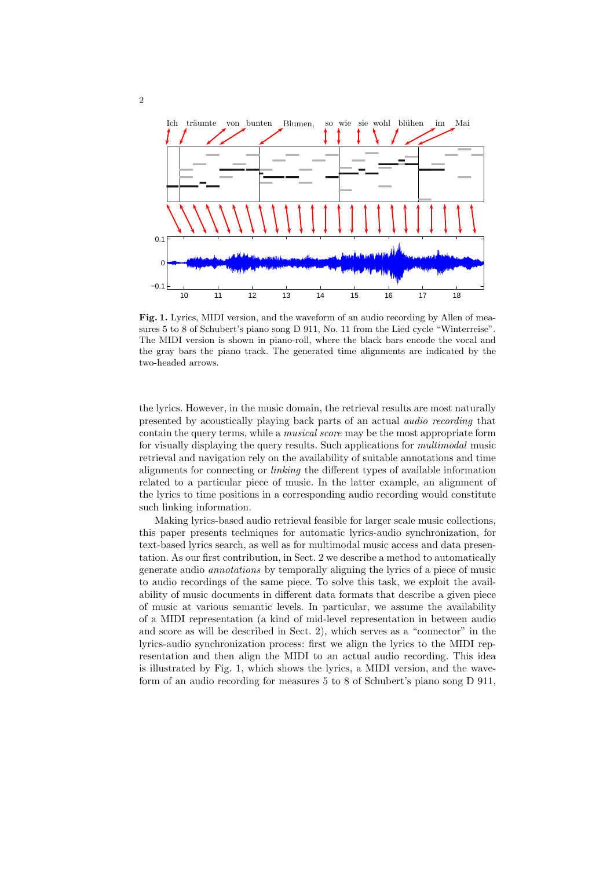

Fig. 1. Lyrics, MIDI version, and the waveform of an audio recording by Allen of measures 5 to 8 of Schubert's piano song D 911, No. 11 from the Lied cycle "Winterreise". The MIDI version is shown in piano-roll, where the black bars encode the vocal and the gray bars the piano track. The generated time alignments are indicated by the two-headed arrows.

the lyrics. However, in the music domain, the retrieval results are most naturally presented by acoustically playing back parts of an actual audio recording that contain the query terms, while a musical score may be the most appropriate form for visually displaying the query results. Such applications for multimodal music retrieval and navigation rely on the availability of suitable annotations and time alignments for connecting or linking the different types of available information related to a particular piece of music. In the latter example, an alignment of the lyrics to time positions in a corresponding audio recording would constitute such linking information.

Making lyrics-based audio retrieval feasible for larger scale music collections, this paper presents techniques for automatic lyrics-audio synchronization, for text-based lyrics search, as well as for multimodal music access and data presentation. As our first contribution, in Sect. 2 we describe a method to automatically generate audio annotations by temporally aligning the lyrics of a piece of music to audio recordings of the same piece. To solve this task, we exploit the availability of music documents in different data formats that describe a given piece of music at various semantic levels. In particular, we assume the availability of a MIDI representation (a kind of mid-level representation in between audio and score as will be described in Sect. 2), which serves as a "connector" in the lyrics-audio synchronization process: first we align the lyrics to the MIDI representation and then align the MIDI to an actual audio recording. This idea is illustrated by Fig. 1, which shows the lyrics, a MIDI version, and the waveform of an audio recording for measures 5 to 8 of Schubert's piano song D 911,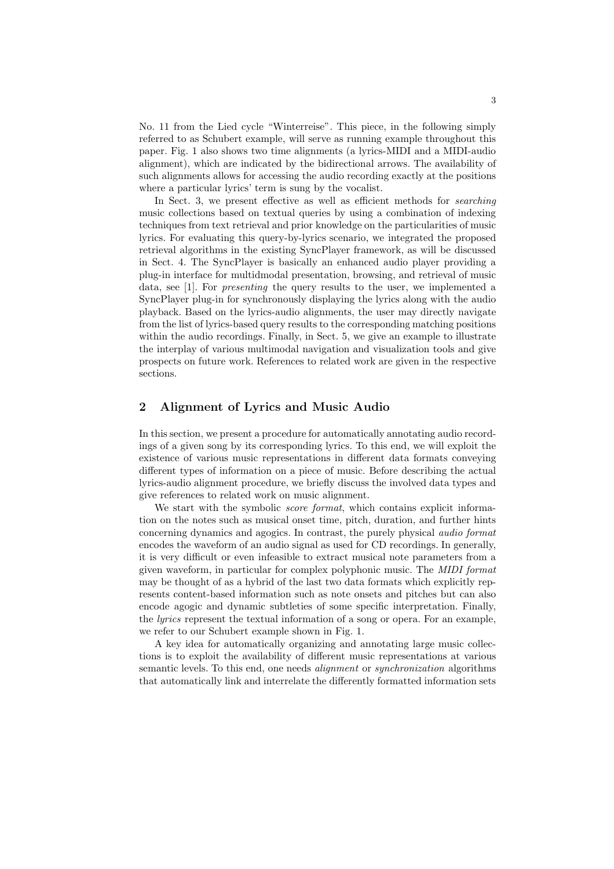No. 11 from the Lied cycle "Winterreise". This piece, in the following simply referred to as Schubert example, will serve as running example throughout this paper. Fig. 1 also shows two time alignments (a lyrics-MIDI and a MIDI-audio alignment), which are indicated by the bidirectional arrows. The availability of such alignments allows for accessing the audio recording exactly at the positions where a particular lyrics' term is sung by the vocalist.

In Sect. 3, we present effective as well as efficient methods for *searching* music collections based on textual queries by using a combination of indexing techniques from text retrieval and prior knowledge on the particularities of music lyrics. For evaluating this query-by-lyrics scenario, we integrated the proposed retrieval algorithms in the existing SyncPlayer framework, as will be discussed in Sect. 4. The SyncPlayer is basically an enhanced audio player providing a plug-in interface for multidmodal presentation, browsing, and retrieval of music data, see [1]. For presenting the query results to the user, we implemented a SyncPlayer plug-in for synchronously displaying the lyrics along with the audio playback. Based on the lyrics-audio alignments, the user may directly navigate from the list of lyrics-based query results to the corresponding matching positions within the audio recordings. Finally, in Sect. 5, we give an example to illustrate the interplay of various multimodal navigation and visualization tools and give prospects on future work. References to related work are given in the respective sections.

### 2 Alignment of Lyrics and Music Audio

In this section, we present a procedure for automatically annotating audio recordings of a given song by its corresponding lyrics. To this end, we will exploit the existence of various music representations in different data formats conveying different types of information on a piece of music. Before describing the actual lyrics-audio alignment procedure, we briefly discuss the involved data types and give references to related work on music alignment.

We start with the symbolic *score format*, which contains explicit information on the notes such as musical onset time, pitch, duration, and further hints concerning dynamics and agogics. In contrast, the purely physical audio format encodes the waveform of an audio signal as used for CD recordings. In generally, it is very difficult or even infeasible to extract musical note parameters from a given waveform, in particular for complex polyphonic music. The MIDI format may be thought of as a hybrid of the last two data formats which explicitly represents content-based information such as note onsets and pitches but can also encode agogic and dynamic subtleties of some specific interpretation. Finally, the lyrics represent the textual information of a song or opera. For an example, we refer to our Schubert example shown in Fig. 1.

A key idea for automatically organizing and annotating large music collections is to exploit the availability of different music representations at various semantic levels. To this end, one needs *alignment* or *synchronization* algorithms that automatically link and interrelate the differently formatted information sets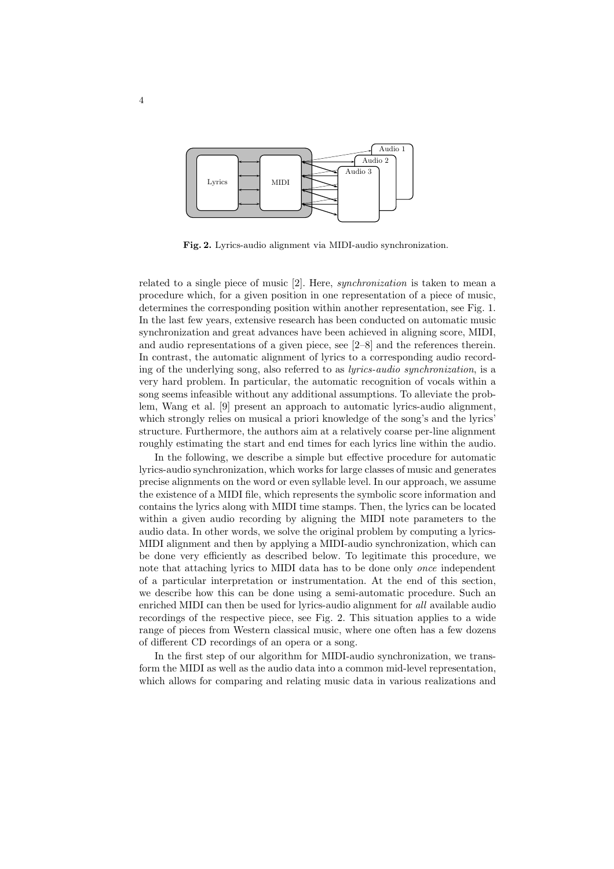

Fig. 2. Lyrics-audio alignment via MIDI-audio synchronization.

related to a single piece of music [2]. Here, synchronization is taken to mean a procedure which, for a given position in one representation of a piece of music, determines the corresponding position within another representation, see Fig. 1. In the last few years, extensive research has been conducted on automatic music synchronization and great advances have been achieved in aligning score, MIDI, and audio representations of a given piece, see [2–8] and the references therein. In contrast, the automatic alignment of lyrics to a corresponding audio recording of the underlying song, also referred to as lyrics-audio synchronization, is a very hard problem. In particular, the automatic recognition of vocals within a song seems infeasible without any additional assumptions. To alleviate the problem, Wang et al. [9] present an approach to automatic lyrics-audio alignment, which strongly relies on musical a priori knowledge of the song's and the lyrics' structure. Furthermore, the authors aim at a relatively coarse per-line alignment roughly estimating the start and end times for each lyrics line within the audio.

In the following, we describe a simple but effective procedure for automatic lyrics-audio synchronization, which works for large classes of music and generates precise alignments on the word or even syllable level. In our approach, we assume the existence of a MIDI file, which represents the symbolic score information and contains the lyrics along with MIDI time stamps. Then, the lyrics can be located within a given audio recording by aligning the MIDI note parameters to the audio data. In other words, we solve the original problem by computing a lyrics-MIDI alignment and then by applying a MIDI-audio synchronization, which can be done very efficiently as described below. To legitimate this procedure, we note that attaching lyrics to MIDI data has to be done only once independent of a particular interpretation or instrumentation. At the end of this section, we describe how this can be done using a semi-automatic procedure. Such an enriched MIDI can then be used for lyrics-audio alignment for all available audio recordings of the respective piece, see Fig. 2. This situation applies to a wide range of pieces from Western classical music, where one often has a few dozens of different CD recordings of an opera or a song.

In the first step of our algorithm for MIDI-audio synchronization, we transform the MIDI as well as the audio data into a common mid-level representation, which allows for comparing and relating music data in various realizations and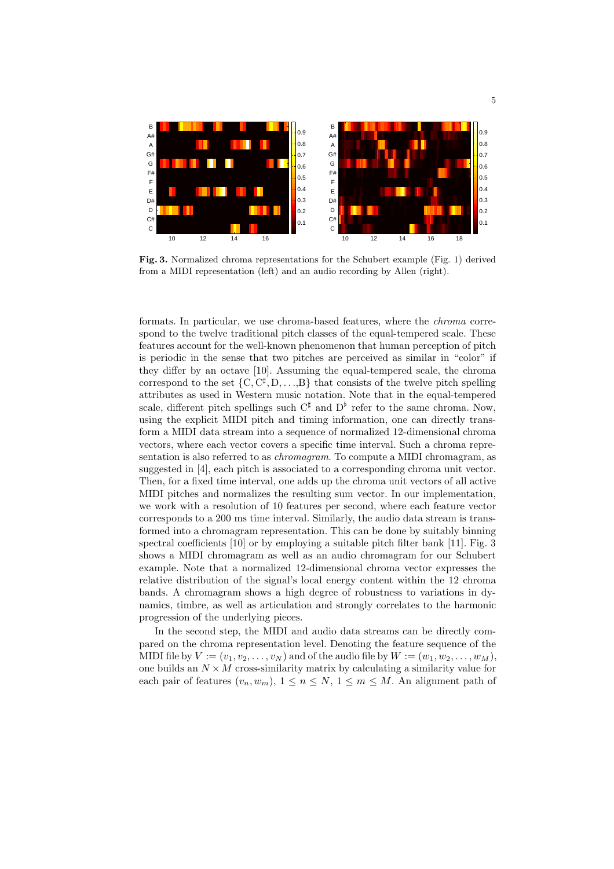

Fig. 3. Normalized chroma representations for the Schubert example (Fig. 1) derived from a MIDI representation (left) and an audio recording by Allen (right).

formats. In particular, we use chroma-based features, where the chroma correspond to the twelve traditional pitch classes of the equal-tempered scale. These features account for the well-known phenomenon that human perception of pitch is periodic in the sense that two pitches are perceived as similar in "color" if they differ by an octave [10]. Assuming the equal-tempered scale, the chroma correspond to the set  $\{C, C^{\sharp}, D, \ldots, B\}$  that consists of the twelve pitch spelling attributes as used in Western music notation. Note that in the equal-tempered scale, different pitch spellings such  $C^{\sharp}$  and  $D^{\flat}$  refer to the same chroma. Now, using the explicit MIDI pitch and timing information, one can directly transform a MIDI data stream into a sequence of normalized 12-dimensional chroma vectors, where each vector covers a specific time interval. Such a chroma representation is also referred to as *chromagram*. To compute a MIDI chromagram, as suggested in [4], each pitch is associated to a corresponding chroma unit vector. Then, for a fixed time interval, one adds up the chroma unit vectors of all active MIDI pitches and normalizes the resulting sum vector. In our implementation, we work with a resolution of 10 features per second, where each feature vector corresponds to a 200 ms time interval. Similarly, the audio data stream is transformed into a chromagram representation. This can be done by suitably binning spectral coefficients [10] or by employing a suitable pitch filter bank [11]. Fig. 3 shows a MIDI chromagram as well as an audio chromagram for our Schubert example. Note that a normalized 12-dimensional chroma vector expresses the relative distribution of the signal's local energy content within the 12 chroma bands. A chromagram shows a high degree of robustness to variations in dynamics, timbre, as well as articulation and strongly correlates to the harmonic progression of the underlying pieces.

In the second step, the MIDI and audio data streams can be directly compared on the chroma representation level. Denoting the feature sequence of the MIDI file by  $V := (v_1, v_2, \ldots, v_N)$  and of the audio file by  $W := (w_1, w_2, \ldots, w_M)$ , one builds an  $N \times M$  cross-similarity matrix by calculating a similarity value for each pair of features  $(v_n, w_m)$ ,  $1 \leq n \leq N$ ,  $1 \leq m \leq M$ . An alignment path of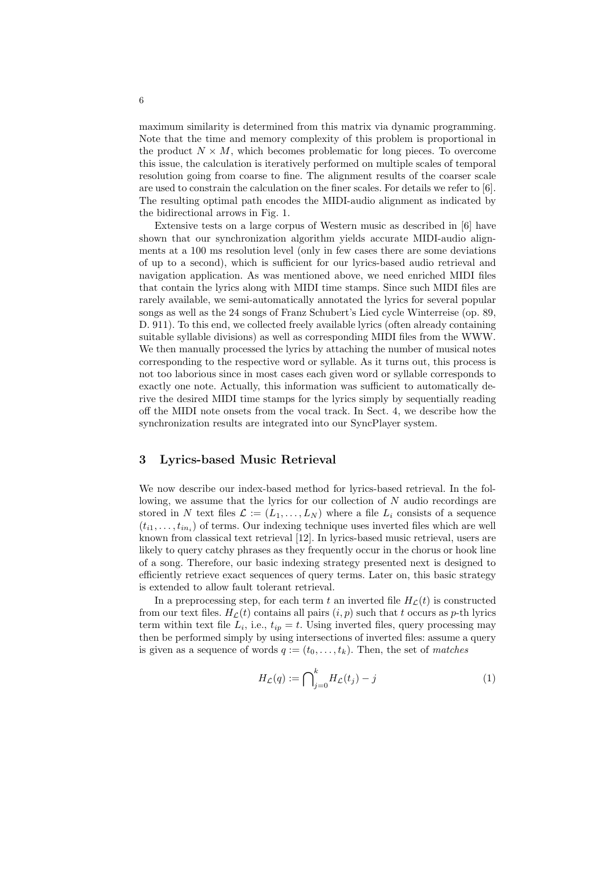maximum similarity is determined from this matrix via dynamic programming. Note that the time and memory complexity of this problem is proportional in the product  $N \times M$ , which becomes problematic for long pieces. To overcome this issue, the calculation is iteratively performed on multiple scales of temporal resolution going from coarse to fine. The alignment results of the coarser scale are used to constrain the calculation on the finer scales. For details we refer to [6]. The resulting optimal path encodes the MIDI-audio alignment as indicated by the bidirectional arrows in Fig. 1.

Extensive tests on a large corpus of Western music as described in [6] have shown that our synchronization algorithm yields accurate MIDI-audio alignments at a 100 ms resolution level (only in few cases there are some deviations of up to a second), which is sufficient for our lyrics-based audio retrieval and navigation application. As was mentioned above, we need enriched MIDI files that contain the lyrics along with MIDI time stamps. Since such MIDI files are rarely available, we semi-automatically annotated the lyrics for several popular songs as well as the 24 songs of Franz Schubert's Lied cycle Winterreise (op. 89, D. 911). To this end, we collected freely available lyrics (often already containing suitable syllable divisions) as well as corresponding MIDI files from the WWW. We then manually processed the lyrics by attaching the number of musical notes corresponding to the respective word or syllable. As it turns out, this process is not too laborious since in most cases each given word or syllable corresponds to exactly one note. Actually, this information was sufficient to automatically derive the desired MIDI time stamps for the lyrics simply by sequentially reading off the MIDI note onsets from the vocal track. In Sect. 4, we describe how the synchronization results are integrated into our SyncPlayer system.

### 3 Lyrics-based Music Retrieval

We now describe our index-based method for lyrics-based retrieval. In the following, we assume that the lyrics for our collection of N audio recordings are stored in N text files  $\mathcal{L} := (L_1, \ldots, L_N)$  where a file  $L_i$  consists of a sequence  $(t_{i1},...,t_{in_i})$  of terms. Our indexing technique uses inverted files which are well known from classical text retrieval [12]. In lyrics-based music retrieval, users are likely to query catchy phrases as they frequently occur in the chorus or hook line of a song. Therefore, our basic indexing strategy presented next is designed to efficiently retrieve exact sequences of query terms. Later on, this basic strategy is extended to allow fault tolerant retrieval.

In a preprocessing step, for each term t an inverted file  $H_{\mathcal{L}}(t)$  is constructed from our text files.  $H_{\mathcal{L}}(t)$  contains all pairs  $(i, p)$  such that t occurs as p-th lyrics term within text file  $L_i$ , i.e.,  $t_{ip} = t$ . Using inverted files, query processing may then be performed simply by using intersections of inverted files: assume a query is given as a sequence of words  $q := (t_0, \ldots, t_k)$ . Then, the set of matches

$$
H_{\mathcal{L}}(q) := \bigcap_{j=0}^{k} H_{\mathcal{L}}(t_j) - j \tag{1}
$$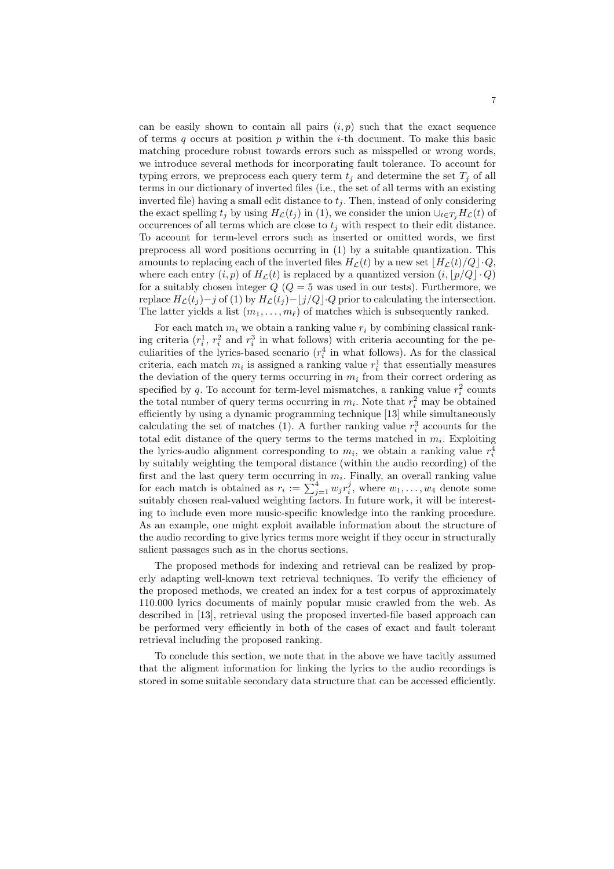can be easily shown to contain all pairs  $(i, p)$  such that the exact sequence of terms q occurs at position p within the i-th document. To make this basic matching procedure robust towards errors such as misspelled or wrong words, we introduce several methods for incorporating fault tolerance. To account for typing errors, we preprocess each query term  $t_i$  and determine the set  $T_i$  of all terms in our dictionary of inverted files (i.e., the set of all terms with an existing inverted file) having a small edit distance to  $t_i$ . Then, instead of only considering the exact spelling  $t_i$  by using  $H_{\mathcal{L}}(t_i)$  in (1), we consider the union  $\cup_{t\in T_i}H_{\mathcal{L}}(t)$  of occurrences of all terms which are close to  $t_i$  with respect to their edit distance. To account for term-level errors such as inserted or omitted words, we first preprocess all word positions occurring in (1) by a suitable quantization. This amounts to replacing each of the inverted files  $H_{\mathcal{L}}(t)$  by a new set  $[H_{\mathcal{L}}(t)/Q]\cdot Q$ , where each entry  $(i, p)$  of  $H_{\mathcal{L}}(t)$  is replaced by a quantized version  $(i, |p/Q| \cdot Q)$ for a suitably chosen integer  $Q$  ( $Q = 5$  was used in our tests). Furthermore, we replace  $H_{\mathcal{L}}(t_j)$  of (1) by  $H_{\mathcal{L}}(t_j) - \lfloor j/Q \rfloor \cdot Q$  prior to calculating the intersection. The latter yields a list  $(m_1, \ldots, m_\ell)$  of matches which is subsequently ranked.

For each match  $m_i$  we obtain a ranking value  $r_i$  by combining classical ranking criteria  $(r_i^1, r_i^2)$  and  $r_i^3$  in what follows) with criteria accounting for the peculiarities of the lyrics-based scenario  $(r_i^4$  in what follows). As for the classical criteria, each match  $m_i$  is assigned a ranking value  $r_i^1$  that essentially measures the deviation of the query terms occurring in  $m_i$  from their correct ordering as specified by q. To account for term-level mismatches, a ranking value  $r_i^2$  counts the total number of query terms occurring in  $m_i$ . Note that  $r_i^2$  may be obtained efficiently by using a dynamic programming technique [13] while simultaneously calculating the set of matches (1). A further ranking value  $r_i^3$  accounts for the total edit distance of the query terms to the terms matched in  $m_i$ . Exploiting the lyrics-audio alignment corresponding to  $m_i$ , we obtain a ranking value  $r_i^4$ by suitably weighting the temporal distance (within the audio recording) of the first and the last query term occurring in  $m_i$ . Finally, an overall ranking value for each match is obtained as  $r_i := \sum_{j=1}^{3} w_j r_i^j$ , where  $w_1, \ldots, w_4$  denote some suitably chosen real-valued weighting factors. In future work, it will be interesting to include even more music-specific knowledge into the ranking procedure. As an example, one might exploit available information about the structure of the audio recording to give lyrics terms more weight if they occur in structurally salient passages such as in the chorus sections.

The proposed methods for indexing and retrieval can be realized by properly adapting well-known text retrieval techniques. To verify the efficiency of the proposed methods, we created an index for a test corpus of approximately 110.000 lyrics documents of mainly popular music crawled from the web. As described in [13], retrieval using the proposed inverted-file based approach can be performed very efficiently in both of the cases of exact and fault tolerant retrieval including the proposed ranking.

To conclude this section, we note that in the above we have tacitly assumed that the aligment information for linking the lyrics to the audio recordings is stored in some suitable secondary data structure that can be accessed efficiently.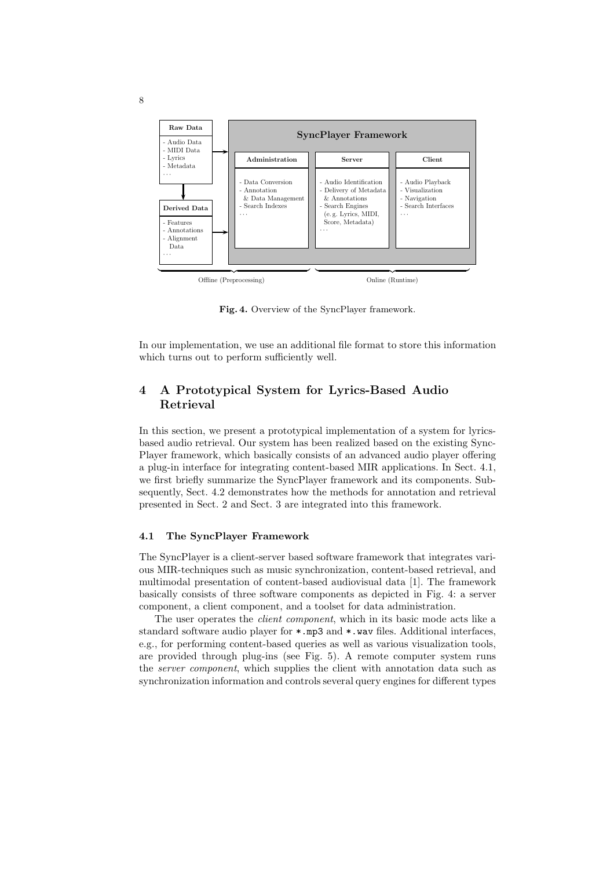

Fig. 4. Overview of the SyncPlayer framework.

In our implementation, we use an additional file format to store this information which turns out to perform sufficiently well.

## 4 A Prototypical System for Lyrics-Based Audio Retrieval

In this section, we present a prototypical implementation of a system for lyricsbased audio retrieval. Our system has been realized based on the existing Sync-Player framework, which basically consists of an advanced audio player offering a plug-in interface for integrating content-based MIR applications. In Sect. 4.1, we first briefly summarize the SyncPlayer framework and its components. Subsequently, Sect. 4.2 demonstrates how the methods for annotation and retrieval presented in Sect. 2 and Sect. 3 are integrated into this framework.

### 4.1 The SyncPlayer Framework

The SyncPlayer is a client-server based software framework that integrates various MIR-techniques such as music synchronization, content-based retrieval, and multimodal presentation of content-based audiovisual data [1]. The framework basically consists of three software components as depicted in Fig. 4: a server component, a client component, and a toolset for data administration.

The user operates the *client component*, which in its basic mode acts like a standard software audio player for \*.mp3 and \*.wav files. Additional interfaces, e.g., for performing content-based queries as well as various visualization tools, are provided through plug-ins (see Fig. 5). A remote computer system runs the server component, which supplies the client with annotation data such as synchronization information and controls several query engines for different types

8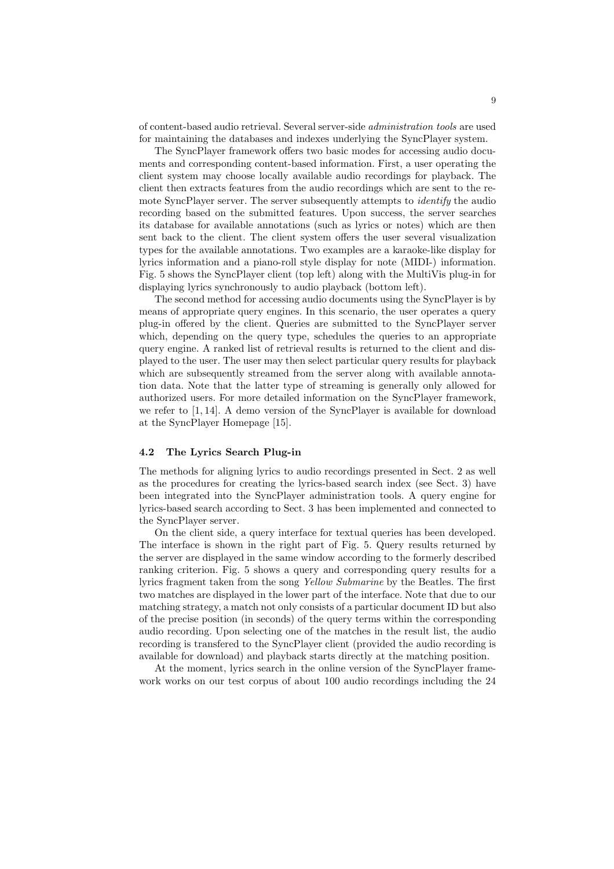of content-based audio retrieval. Several server-side administration tools are used for maintaining the databases and indexes underlying the SyncPlayer system.

The SyncPlayer framework offers two basic modes for accessing audio documents and corresponding content-based information. First, a user operating the client system may choose locally available audio recordings for playback. The client then extracts features from the audio recordings which are sent to the remote SyncPlayer server. The server subsequently attempts to identify the audio recording based on the submitted features. Upon success, the server searches its database for available annotations (such as lyrics or notes) which are then sent back to the client. The client system offers the user several visualization types for the available annotations. Two examples are a karaoke-like display for lyrics information and a piano-roll style display for note (MIDI-) information. Fig. 5 shows the SyncPlayer client (top left) along with the MultiVis plug-in for displaying lyrics synchronously to audio playback (bottom left).

The second method for accessing audio documents using the SyncPlayer is by means of appropriate query engines. In this scenario, the user operates a query plug-in offered by the client. Queries are submitted to the SyncPlayer server which, depending on the query type, schedules the queries to an appropriate query engine. A ranked list of retrieval results is returned to the client and displayed to the user. The user may then select particular query results for playback which are subsequently streamed from the server along with available annotation data. Note that the latter type of streaming is generally only allowed for authorized users. For more detailed information on the SyncPlayer framework, we refer to [1, 14]. A demo version of the SyncPlayer is available for download at the SyncPlayer Homepage [15].

#### 4.2 The Lyrics Search Plug-in

The methods for aligning lyrics to audio recordings presented in Sect. 2 as well as the procedures for creating the lyrics-based search index (see Sect. 3) have been integrated into the SyncPlayer administration tools. A query engine for lyrics-based search according to Sect. 3 has been implemented and connected to the SyncPlayer server.

On the client side, a query interface for textual queries has been developed. The interface is shown in the right part of Fig. 5. Query results returned by the server are displayed in the same window according to the formerly described ranking criterion. Fig. 5 shows a query and corresponding query results for a lyrics fragment taken from the song Yellow Submarine by the Beatles. The first two matches are displayed in the lower part of the interface. Note that due to our matching strategy, a match not only consists of a particular document ID but also of the precise position (in seconds) of the query terms within the corresponding audio recording. Upon selecting one of the matches in the result list, the audio recording is transfered to the SyncPlayer client (provided the audio recording is available for download) and playback starts directly at the matching position.

At the moment, lyrics search in the online version of the SyncPlayer framework works on our test corpus of about 100 audio recordings including the 24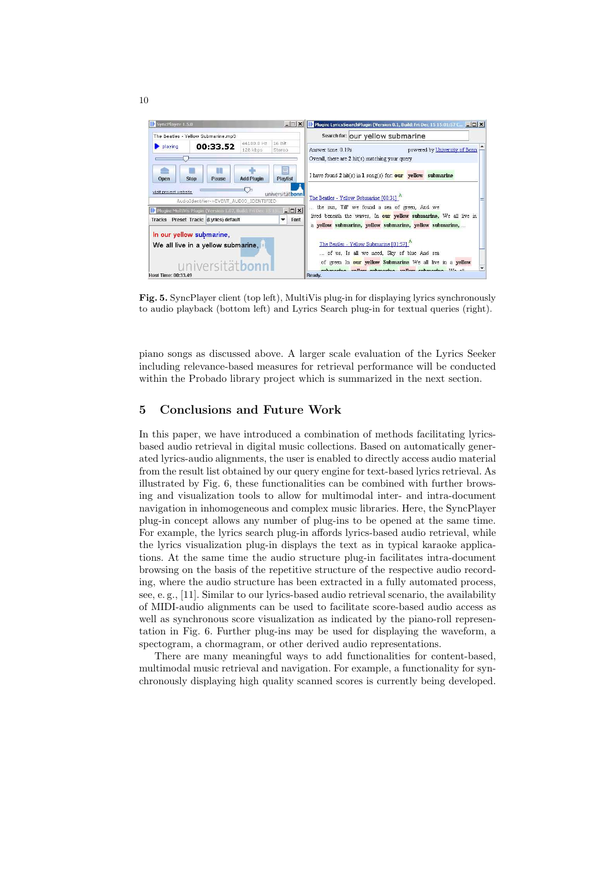

Fig. 5. SyncPlayer client (top left), MultiVis plug-in for displaying lyrics synchronously to audio playback (bottom left) and Lyrics Search plug-in for textual queries (right).

piano songs as discussed above. A larger scale evaluation of the Lyrics Seeker including relevance-based measures for retrieval performance will be conducted within the Probado library project which is summarized in the next section.

### 5 Conclusions and Future Work

In this paper, we have introduced a combination of methods facilitating lyricsbased audio retrieval in digital music collections. Based on automatically generated lyrics-audio alignments, the user is enabled to directly access audio material from the result list obtained by our query engine for text-based lyrics retrieval. As illustrated by Fig. 6, these functionalities can be combined with further browsing and visualization tools to allow for multimodal inter- and intra-document navigation in inhomogeneous and complex music libraries. Here, the SyncPlayer plug-in concept allows any number of plug-ins to be opened at the same time. For example, the lyrics search plug-in affords lyrics-based audio retrieval, while the lyrics visualization plug-in displays the text as in typical karaoke applications. At the same time the audio structure plug-in facilitates intra-document browsing on the basis of the repetitive structure of the respective audio recording, where the audio structure has been extracted in a fully automated process, see, e. g., [11]. Similar to our lyrics-based audio retrieval scenario, the availability of MIDI-audio alignments can be used to facilitate score-based audio access as well as synchronous score visualization as indicated by the piano-roll representation in Fig. 6. Further plug-ins may be used for displaying the waveform, a spectogram, a chormagram, or other derived audio representations.

There are many meaningful ways to add functionalities for content-based, multimodal music retrieval and navigation. For example, a functionality for synchronously displaying high quality scanned scores is currently being developed.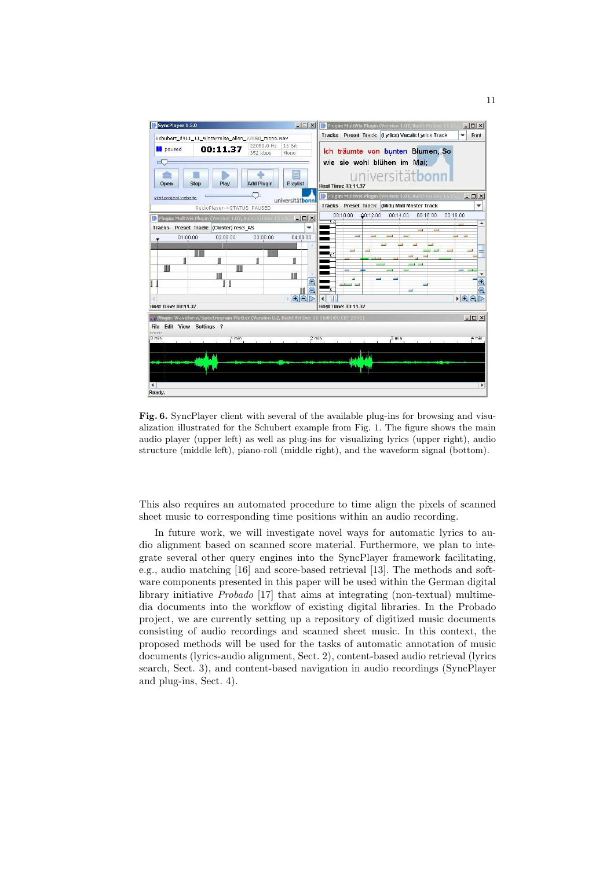

Fig. 6. SyncPlayer client with several of the available plug-ins for browsing and visualization illustrated for the Schubert example from Fig. 1. The figure shows the main audio player (upper left) as well as plug-ins for visualizing lyrics (upper right), audio structure (middle left), piano-roll (middle right), and the waveform signal (bottom).

This also requires an automated procedure to time align the pixels of scanned sheet music to corresponding time positions within an audio recording.

In future work, we will investigate novel ways for automatic lyrics to audio alignment based on scanned score material. Furthermore, we plan to integrate several other query engines into the SyncPlayer framework facilitating, e.g., audio matching [16] and score-based retrieval [13]. The methods and software components presented in this paper will be used within the German digital library initiative Probado [17] that aims at integrating (non-textual) multimedia documents into the workflow of existing digital libraries. In the Probado project, we are currently setting up a repository of digitized music documents consisting of audio recordings and scanned sheet music. In this context, the proposed methods will be used for the tasks of automatic annotation of music documents (lyrics-audio alignment, Sect. 2), content-based audio retrieval (lyrics search, Sect. 3), and content-based navigation in audio recordings (SyncPlayer and plug-ins, Sect. 4).